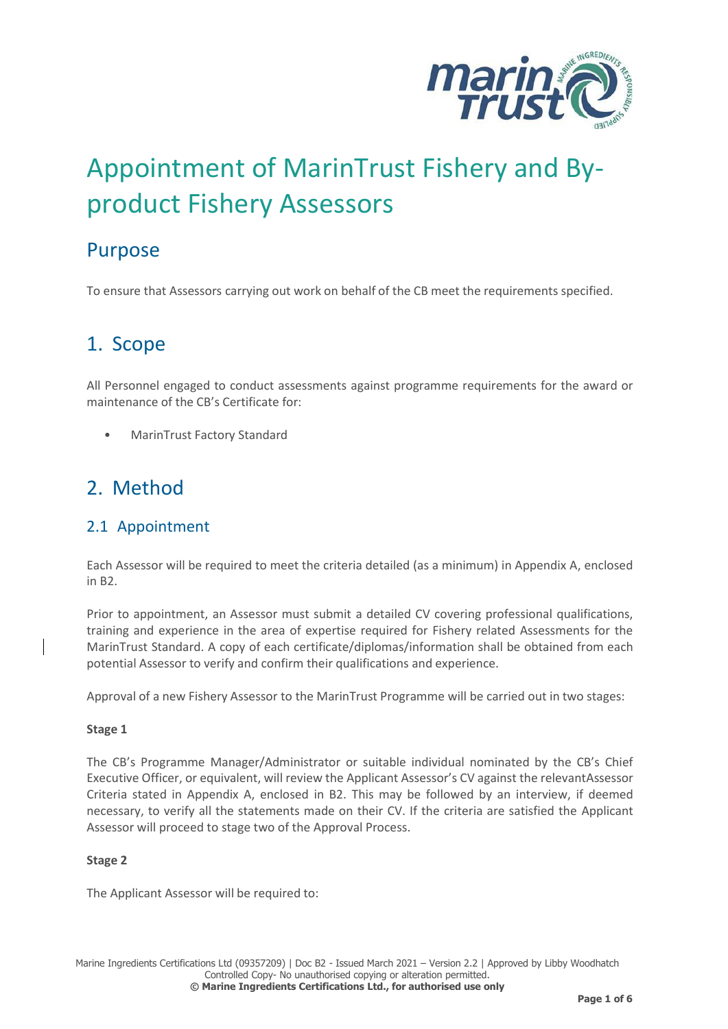

# Appointment of MarinTrust Fishery and Byproduct Fishery Assessors

### Purpose

To ensure that Assessors carrying out work on behalf of the CB meet the requirements specified.

## 1. Scope

All Personnel engaged to conduct assessments against programme requirements for the award or maintenance of the CB's Certificate for:

• MarinTrust Factory Standard

### 2. Method

### 2.1 Appointment

Each Assessor will be required to meet the criteria detailed (as a minimum) in Appendix A, enclosed in B2.

Prior to appointment, an Assessor must submit a detailed CV covering professional qualifications, training and experience in the area of expertise required for Fishery related Assessments for the MarinTrust Standard. A copy of each certificate/diplomas/information shall be obtained from each potential Assessor to verify and confirm their qualifications and experience.

Approval of a new Fishery Assessor to the MarinTrust Programme will be carried out in two stages:

#### **Stage 1**

The CB's Programme Manager/Administrator or suitable individual nominated by the CB's Chief Executive Officer, or equivalent, will review the Applicant Assessor's CV against the relevantAssessor Criteria stated in Appendix A, enclosed in B2. This may be followed by an interview, if deemed necessary, to verify all the statements made on their CV. If the criteria are satisfied the Applicant Assessor will proceed to stage two of the Approval Process.

#### **Stage 2**

The Applicant Assessor will be required to: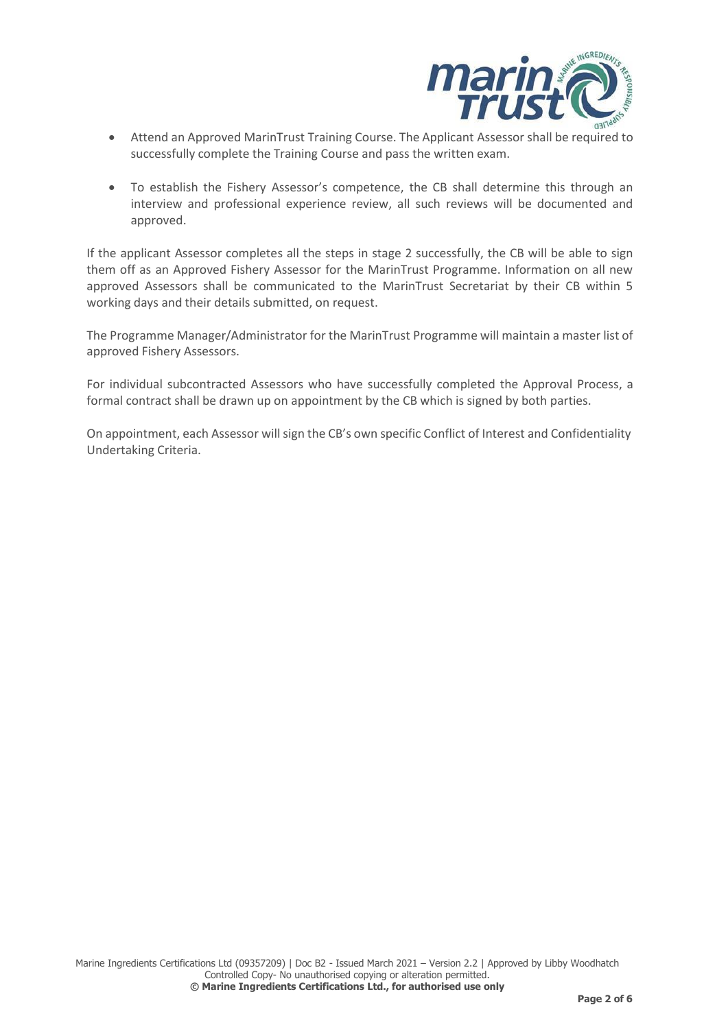

- Attend an Approved MarinTrust Training Course. The Applicant Assessor shall be required to successfully complete the Training Course and pass the written exam.
- To establish the Fishery Assessor's competence, the CB shall determine this through an interview and professional experience review, all such reviews will be documented and approved.

If the applicant Assessor completes all the steps in stage 2 successfully, the CB will be able to sign them off as an Approved Fishery Assessor for the MarinTrust Programme. Information on all new approved Assessors shall be communicated to the MarinTrust Secretariat by their CB within 5 working days and their details submitted, on request.

The Programme Manager/Administrator for the MarinTrust Programme will maintain a master list of approved Fishery Assessors.

For individual subcontracted Assessors who have successfully completed the Approval Process, a formal contract shall be drawn up on appointment by the CB which is signed by both parties.

On appointment, each Assessor will sign the CB's own specific Conflict of Interest and Confidentiality Undertaking Criteria.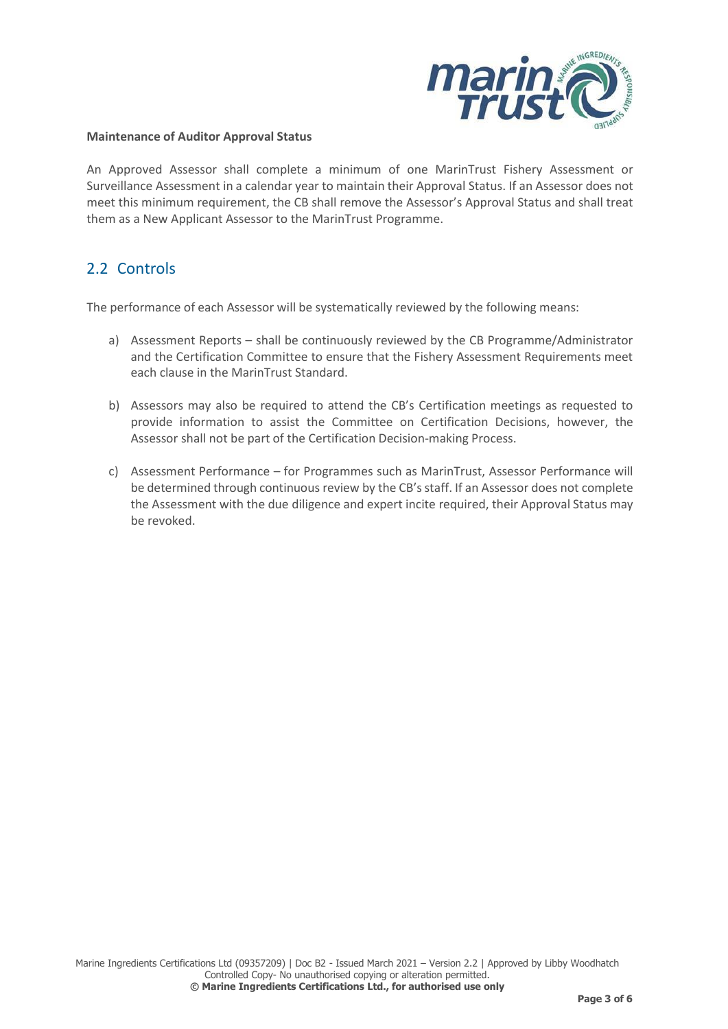

#### **Maintenance of Auditor Approval Status**

An Approved Assessor shall complete a minimum of one MarinTrust Fishery Assessment or Surveillance Assessment in a calendar year to maintain their Approval Status. If an Assessor does not meet this minimum requirement, the CB shall remove the Assessor's Approval Status and shall treat them as a New Applicant Assessor to the MarinTrust Programme.

### 2.2 Controls

The performance of each Assessor will be systematically reviewed by the following means:

- a) Assessment Reports shall be continuously reviewed by the CB Programme/Administrator and the Certification Committee to ensure that the Fishery Assessment Requirements meet each clause in the MarinTrust Standard.
- b) Assessors may also be required to attend the CB's Certification meetings as requested to provide information to assist the Committee on Certification Decisions, however, the Assessor shall not be part of the Certification Decision-making Process.
- c) Assessment Performance for Programmes such as MarinTrust, Assessor Performance will be determined through continuous review by the CB's staff. If an Assessor does not complete the Assessment with the due diligence and expert incite required, their Approval Status may be revoked.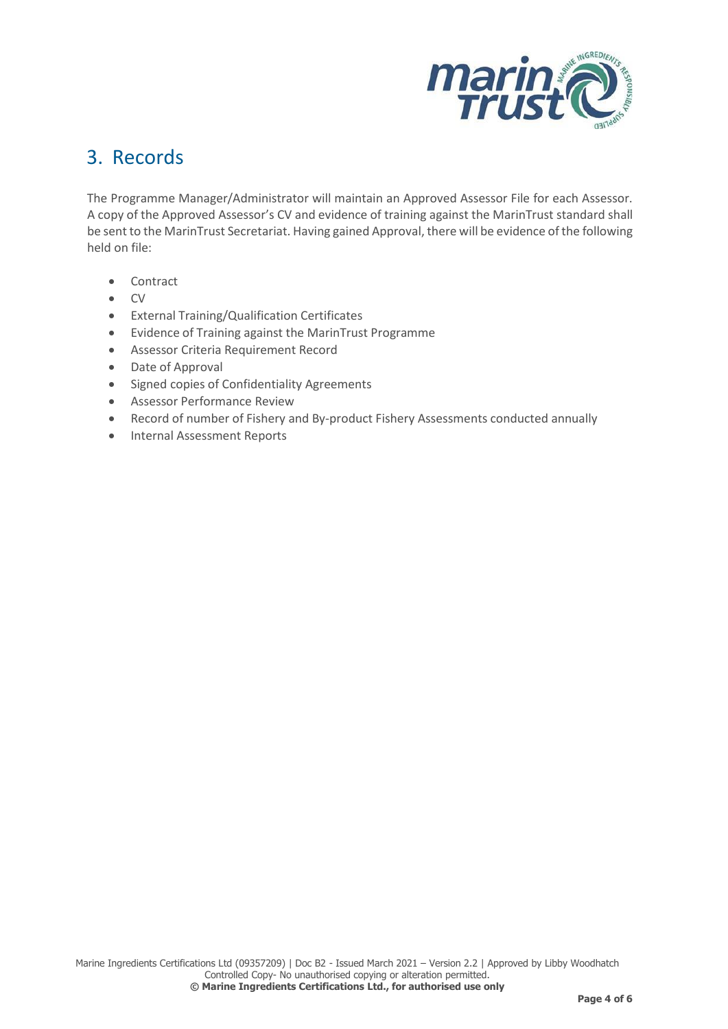

### 3. Records

The Programme Manager/Administrator will maintain an Approved Assessor File for each Assessor. A copy of the Approved Assessor's CV and evidence of training against the MarinTrust standard shall be sent to the MarinTrust Secretariat. Having gained Approval, there will be evidence of the following held on file:

- Contract
- CV
- External Training/Qualification Certificates
- Evidence of Training against the MarinTrust Programme
- Assessor Criteria Requirement Record
- Date of Approval
- Signed copies of Confidentiality Agreements
- Assessor Performance Review
- Record of number of Fishery and By-product Fishery Assessments conducted annually
- Internal Assessment Reports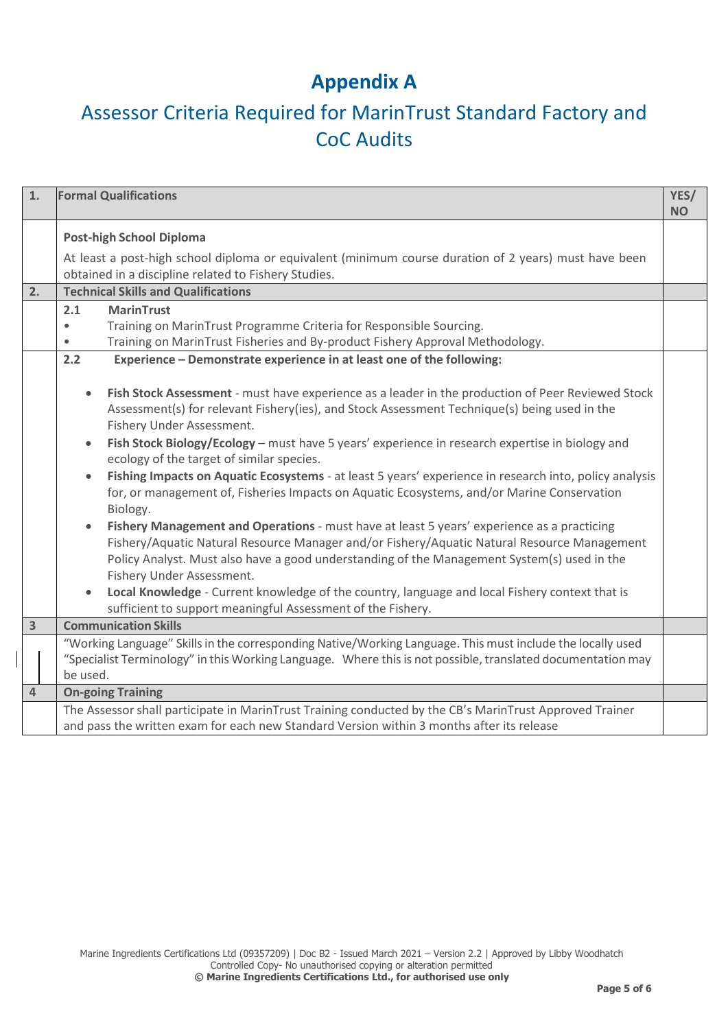## **Appendix A**

# Assessor Criteria Required for MarinTrust Standard Factory and CoC Audits

| 1. | <b>Formal Qualifications</b>                                                                                                                                                                                                                                                                                                                                                                                                                                                                                                                                                                                                                                                                                                                                                                                                                                                                                                                                                                                                                                                                              | YES/<br><b>NO</b> |  |  |  |
|----|-----------------------------------------------------------------------------------------------------------------------------------------------------------------------------------------------------------------------------------------------------------------------------------------------------------------------------------------------------------------------------------------------------------------------------------------------------------------------------------------------------------------------------------------------------------------------------------------------------------------------------------------------------------------------------------------------------------------------------------------------------------------------------------------------------------------------------------------------------------------------------------------------------------------------------------------------------------------------------------------------------------------------------------------------------------------------------------------------------------|-------------------|--|--|--|
|    | <b>Post-high School Diploma</b><br>At least a post-high school diploma or equivalent (minimum course duration of 2 years) must have been<br>obtained in a discipline related to Fishery Studies.                                                                                                                                                                                                                                                                                                                                                                                                                                                                                                                                                                                                                                                                                                                                                                                                                                                                                                          |                   |  |  |  |
| 2. | <b>Technical Skills and Qualifications</b>                                                                                                                                                                                                                                                                                                                                                                                                                                                                                                                                                                                                                                                                                                                                                                                                                                                                                                                                                                                                                                                                |                   |  |  |  |
|    | <b>MarinTrust</b><br>2.1<br>Training on MarinTrust Programme Criteria for Responsible Sourcing.<br>Training on MarinTrust Fisheries and By-product Fishery Approval Methodology.<br>$\bullet$                                                                                                                                                                                                                                                                                                                                                                                                                                                                                                                                                                                                                                                                                                                                                                                                                                                                                                             |                   |  |  |  |
|    | Experience - Demonstrate experience in at least one of the following:<br>2.2                                                                                                                                                                                                                                                                                                                                                                                                                                                                                                                                                                                                                                                                                                                                                                                                                                                                                                                                                                                                                              |                   |  |  |  |
|    | Fish Stock Assessment - must have experience as a leader in the production of Peer Reviewed Stock<br>$\bullet$<br>Assessment(s) for relevant Fishery(ies), and Stock Assessment Technique(s) being used in the<br>Fishery Under Assessment.<br>Fish Stock Biology/Ecology - must have 5 years' experience in research expertise in biology and<br>ecology of the target of similar species.<br>Fishing Impacts on Aquatic Ecosystems - at least 5 years' experience in research into, policy analysis<br>for, or management of, Fisheries Impacts on Aquatic Ecosystems, and/or Marine Conservation<br>Biology.<br>Fishery Management and Operations - must have at least 5 years' experience as a practicing<br>Fishery/Aquatic Natural Resource Manager and/or Fishery/Aquatic Natural Resource Management<br>Policy Analyst. Must also have a good understanding of the Management System(s) used in the<br>Fishery Under Assessment.<br>Local Knowledge - Current knowledge of the country, language and local Fishery context that is<br>sufficient to support meaningful Assessment of the Fishery. |                   |  |  |  |
| 3  | <b>Communication Skills</b>                                                                                                                                                                                                                                                                                                                                                                                                                                                                                                                                                                                                                                                                                                                                                                                                                                                                                                                                                                                                                                                                               |                   |  |  |  |
|    | "Working Language" Skills in the corresponding Native/Working Language. This must include the locally used<br>"Specialist Terminology" in this Working Language. Where this is not possible, translated documentation may<br>be used.                                                                                                                                                                                                                                                                                                                                                                                                                                                                                                                                                                                                                                                                                                                                                                                                                                                                     |                   |  |  |  |
| 4  | <b>On-going Training</b>                                                                                                                                                                                                                                                                                                                                                                                                                                                                                                                                                                                                                                                                                                                                                                                                                                                                                                                                                                                                                                                                                  |                   |  |  |  |
|    | The Assessor shall participate in MarinTrust Training conducted by the CB's MarinTrust Approved Trainer<br>and pass the written exam for each new Standard Version within 3 months after its release                                                                                                                                                                                                                                                                                                                                                                                                                                                                                                                                                                                                                                                                                                                                                                                                                                                                                                      |                   |  |  |  |

 $\overline{\phantom{a}}$